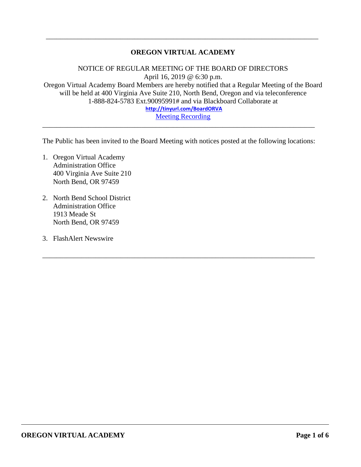# **OREGON VIRTUAL ACADEMY**

\_\_\_\_\_\_\_\_\_\_\_\_\_\_\_\_\_\_\_\_\_\_\_\_\_\_\_\_\_\_\_\_\_\_\_\_\_\_\_\_\_\_\_\_\_\_\_\_\_\_\_\_\_\_\_\_\_\_\_\_\_\_\_\_\_\_\_\_\_\_\_\_\_\_\_\_\_

NOTICE OF REGULAR MEETING OF THE BOARD OF DIRECTORS April 16, 2019 @ 6:30 p.m. Oregon Virtual Academy Board Members are hereby notified that a Regular Meeting of the Board will be held at 400 Virginia Ave Suite 210, North Bend, Oregon and via teleconference 1-888-824-5783 Ext.90095991# and via Blackboard Collaborate at **<http://tinyurl.com/BoardORVA>** [Meeting Recording](https://sas.elluminate.com/site/external/launch/nativeplayback.jnlp?sid=559&psid=2019-04-16.1903.M.4BD84C2E38819C8D07E06941AC5558.vcr)

The Public has been invited to the Board Meeting with notices posted at the following locations:

\_\_\_\_\_\_\_\_\_\_\_\_\_\_\_\_\_\_\_\_\_\_\_\_\_\_\_\_\_\_\_\_\_\_\_\_\_\_\_\_\_\_\_\_\_\_\_\_\_\_\_\_\_\_\_\_\_\_\_\_\_\_\_\_\_\_\_\_\_\_\_\_\_\_\_\_\_

\_\_\_\_\_\_\_\_\_\_\_\_\_\_\_\_\_\_\_\_\_\_\_\_\_\_\_\_\_\_\_\_\_\_\_\_\_\_\_\_\_\_\_\_\_\_\_\_\_\_\_\_\_\_\_\_\_\_\_\_\_\_\_\_\_\_\_\_\_\_\_\_\_\_\_\_\_

- 1. Oregon Virtual Academy Administration Office 400 Virginia Ave Suite 210 North Bend, OR 97459
- 2. North Bend School District Administration Office 1913 Meade St North Bend, OR 97459
- 3. FlashAlert Newswire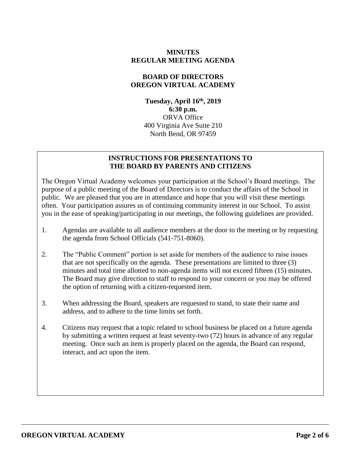### **MINUTES REGULAR MEETING AGENDA**

#### **BOARD OF DIRECTORS OREGON VIRTUAL ACADEMY**

**Tuesday, April 16 th , 2019 6:30 p.m.** ORVA Office 400 Virginia Ave Suite 210 North Bend, OR 97459

#### **INSTRUCTIONS FOR PRESENTATIONS TO THE BOARD BY PARENTS AND CITIZENS**

The Oregon Virtual Academy welcomes your participation at the School's Board meetings. The purpose of a public meeting of the Board of Directors is to conduct the affairs of the School in public. We are pleased that you are in attendance and hope that you will visit these meetings often. Your participation assures us of continuing community interest in our School. To assist you in the ease of speaking/participating in our meetings, the following guidelines are provided.

- 1. Agendas are available to all audience members at the door to the meeting or by requesting the agenda from School Officials (541-751-8060).
- 2. The "Public Comment" portion is set aside for members of the audience to raise issues that are not specifically on the agenda. These presentations are limited to three (3) minutes and total time allotted to non-agenda items will not exceed fifteen (15) minutes. The Board may give direction to staff to respond to your concern or you may be offered the option of returning with a citizen-requested item.
- 3. When addressing the Board, speakers are requested to stand, to state their name and address, and to adhere to the time limits set forth.
- 4. Citizens may request that a topic related to school business be placed on a future agenda by submitting a written request at least seventy-two (72) hours in advance of any regular meeting. Once such an item is properly placed on the agenda, the Board can respond, interact, and act upon the item.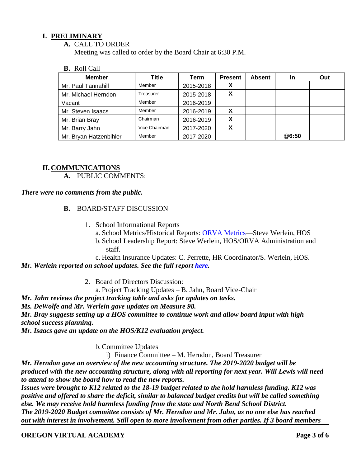## **I. PRELIMINARY**

#### **A.** CALL TO ORDER

Meeting was called to order by the Board Chair at 6:30 P.M.

#### **B.** Roll Call

| <b>Member</b>          | Title         | Term      | <b>Present</b> | <b>Absent</b> | <b>In</b> | Out |
|------------------------|---------------|-----------|----------------|---------------|-----------|-----|
| Mr. Paul Tannahill     | Member        | 2015-2018 | v<br>$\lambda$ |               |           |     |
| Mr. Michael Herndon    | Treasurer     | 2015-2018 | X              |               |           |     |
| Vacant                 | Member        | 2016-2019 |                |               |           |     |
| Mr. Steven Isaacs      | Member        | 2016-2019 | X              |               |           |     |
| Mr. Brian Bray         | Chairman      | 2016-2019 | X              |               |           |     |
| Mr. Barry Jahn         | Vice Chairman | 2017-2020 | X              |               |           |     |
| Mr. Bryan Hatzenbihler | Member        | 2017-2020 |                |               | @6:50     |     |

#### **II. COMMUNICATIONS**

**A.** PUBLIC COMMENTS:

#### *There were no comments from the public.*

#### **B.** BOARD/STAFF DISCUSSION

- 1. School Informational Reports
	- a. School Metrics/Historical Reports: [ORVA Metrics—](../../:f:/g/personal/swerlein_k12_com/EmjKqwMd8clNrqlWny4rPp0BRvsCVAPioNiFUGyw39h3-w?e=qn6Xhg)Steve Werlein, HOS
	- b. School Leadership Report: Steve Werlein, HOS/ORVA Administration and staff.

c. Health Insurance Updates: C. Perrette, HR Coordinator/S. Werlein, HOS. *Mr. Werlein reported on school updates. See the full report [here.](https://k12inc-my.sharepoint.com/:b:/g/personal/mecaldwell_oregonva_org/ESuwbReHpU5LrwC_6ppY2YwBhPyjdwTfGMmqc2IkvXgUwg?e=PRH9qc)* 

2. Board of Directors Discussion:

a. Project Tracking Updates – B. Jahn, Board Vice-Chair

*Mr. Jahn reviews the project tracking table and asks for updates on tasks.* 

*Ms. DeWolfe and Mr. Werlein gave updates on Measure 98.*

*Mr. Bray suggests setting up a HOS committee to continue work and allow board input with high school success planning.*

*Mr. Isaacs gave an update on the HOS/K12 evaluation project.*

b.Committee Updates

i) Finance Committee – M. Herndon, Board Treasurer

*Mr. Herndon gave an overview of the new accounting structure. The 2019-2020 budget will be produced with the new accounting structure, along with all reporting for next year. Will Lewis will need to attend to show the board how to read the new reports.*

*Issues were brought to K12 related to the 18-19 budget related to the hold harmless funding. K12 was positive and offered to share the deficit, similar to balanced budget credits but will be called something else. We may receive hold harmless funding from the state and North Bend School District. The 2019-2020 Budget committee consists of Mr. Herndon and Mr. Jahn, as no one else has reached out with interest in involvement. Still open to more involvement from other parties. If 3 board members* 

**OREGON VIRTUAL ACADEMY Page 3 of 6**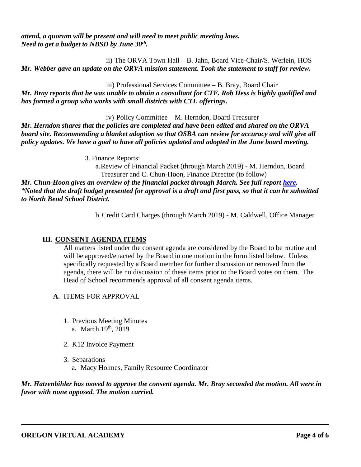*attend, a quorum will be present and will need to meet public meeting laws. Need to get a budget to NBSD by June 30th .* 

ii) The ORVA Town Hall – B. Jahn, Board Vice-Chair/S. Werlein, HOS *Mr. Webber gave an update on the ORVA mission statement. Took the statement to staff for review.*

iii) Professional Services Committee – B. Bray, Board Chair

*Mr. Bray reports that he was unable to obtain a consultant for CTE. Rob Hess is highly qualified and has formed a group who works with small districts with CTE offerings.* 

iv) Policy Committee – M. Herndon, Board Treasurer

*Mr. Herndon shares that the policies are completed and have been edited and shared on the ORVA board site. Recommending a blanket adoption so that OSBA can review for accuracy and will give all policy updates. We have a goal to have all policies updated and adopted in the June board meeting.*

3. Finance Reports:

a.Review of Financial Packet (through March 2019) - M. Herndon, Board Treasurer and C. Chun-Hoon, Finance Director (to follow)

*Mr. Chun-Hoon gives an overview of the financial packet through March. See full report [here.](https://k12inc-my.sharepoint.com/:p:/g/personal/mecaldwell_oregonva_org/Ee4cfJH_8O5EtvkFD5CxEn4BOQJu-FMiOK72sR57vPaLXQ?e=UMvKrl) \*Noted that the draft budget presented for approval is a draft and first pass, so that it can be submitted to North Bend School District.*

b.Credit Card Charges (through March 2019) - M. Caldwell, Office Manager

# **III. CONSENT AGENDA ITEMS**

All matters listed under the consent agenda are considered by the Board to be routine and will be approved/enacted by the Board in one motion in the form listed below. Unless specifically requested by a Board member for further discussion or removed from the agenda, there will be no discussion of these items prior to the Board votes on them. The Head of School recommends approval of all consent agenda items.

- **A.** ITEMS FOR APPROVAL
	- 1. Previous Meeting Minutes a. March 19<sup>th</sup>, 2019
	- 2. K12 Invoice Payment
	- 3. Separations a. Macy Holmes, Family Resource Coordinator

*Mr. Hatzenbihler has moved to approve the consent agenda. Mr. Bray seconded the motion. All were in favor with none opposed. The motion carried.*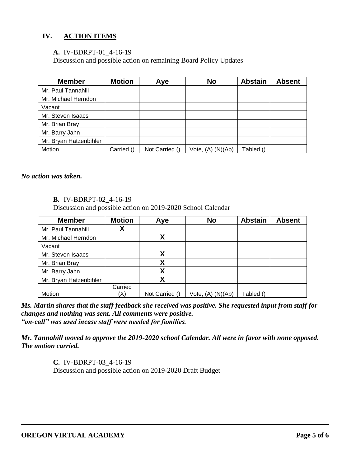# **IV. ACTION ITEMS**

## **A.** IV-BDRPT-01\_4-16-19

Discussion and possible action on remaining Board Policy Updates

| <b>Member</b>          | <b>Motion</b> | Aye            | <b>No</b>             | <b>Abstain</b> | <b>Absent</b> |
|------------------------|---------------|----------------|-----------------------|----------------|---------------|
| Mr. Paul Tannahill     |               |                |                       |                |               |
| Mr. Michael Herndon    |               |                |                       |                |               |
| Vacant                 |               |                |                       |                |               |
| Mr. Steven Isaacs      |               |                |                       |                |               |
| Mr. Brian Bray         |               |                |                       |                |               |
| Mr. Barry Jahn         |               |                |                       |                |               |
| Mr. Bryan Hatzenbihler |               |                |                       |                |               |
| Motion                 | Carried ()    | Not Carried () | Vote, $(A)$ $(N)(Ab)$ | Tabled ()      |               |

*No action was taken.* 

#### **B.** IV-BDRPT-02\_4-16-19

Discussion and possible action on 2019-2020 School Calendar

| <b>Member</b>          | <b>Motion</b> | Aye            | <b>No</b>             | <b>Abstain</b> | <b>Absent</b> |
|------------------------|---------------|----------------|-----------------------|----------------|---------------|
| Mr. Paul Tannahill     |               |                |                       |                |               |
| Mr. Michael Herndon    |               | χ              |                       |                |               |
| Vacant                 |               |                |                       |                |               |
| Mr. Steven Isaacs      |               | χ              |                       |                |               |
| Mr. Brian Bray         |               | χ              |                       |                |               |
| Mr. Barry Jahn         |               | Χ              |                       |                |               |
| Mr. Bryan Hatzenbihler |               | χ              |                       |                |               |
|                        | Carried       |                |                       |                |               |
| Motion                 | $\mathsf{X}$  | Not Carried () | Vote, $(A)$ $(N)(Ab)$ | Tabled ()      |               |

*Ms. Martin shares that the staff feedback she received was positive. She requested input from staff for changes and nothing was sent. All comments were positive. "on-call" was used incase staff were needed for families.*

*Mr. Tannahill moved to approve the 2019-2020 school Calendar. All were in favor with none opposed. The motion carried.*

> **C.** IV-BDRPT-03\_4-16-19 Discussion and possible action on 2019-2020 Draft Budget